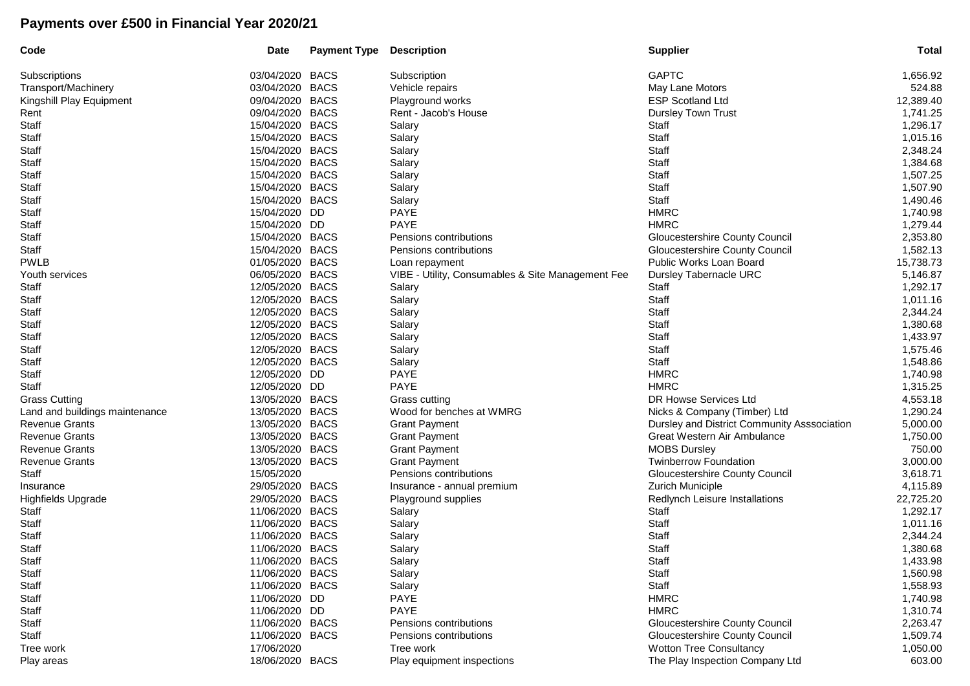## **Payments over £500 in Financial Year 2020/21**

| Code                           | <b>Date</b>     | <b>Payment Type</b> | <b>Description</b>                                | <b>Supplier</b>                             | <b>Total</b> |
|--------------------------------|-----------------|---------------------|---------------------------------------------------|---------------------------------------------|--------------|
| Subscriptions                  | 03/04/2020 BACS |                     | Subscription                                      | <b>GAPTC</b>                                | 1,656.92     |
| Transport/Machinery            | 03/04/2020      | <b>BACS</b>         | Vehicle repairs                                   | May Lane Motors                             | 524.88       |
| Kingshill Play Equipment       | 09/04/2020      | <b>BACS</b>         | Playground works                                  | <b>ESP Scotland Ltd</b>                     | 12,389.40    |
| Rent                           | 09/04/2020      | <b>BACS</b>         | Rent - Jacob's House                              | Dursley Town Trust                          | 1,741.25     |
| Staff                          | 15/04/2020      | <b>BACS</b>         | Salary                                            | Staff                                       | 1,296.17     |
| Staff                          | 15/04/2020      | <b>BACS</b>         | Salary                                            | Staff                                       | 1,015.16     |
| Staff                          | 15/04/2020      | <b>BACS</b>         | Salary                                            | Staff                                       | 2,348.24     |
| Staff                          | 15/04/2020 BACS |                     | Salary                                            | Staff                                       | 1,384.68     |
| Staff                          | 15/04/2020 BACS |                     | Salary                                            | Staff                                       | 1,507.25     |
| <b>Staff</b>                   | 15/04/2020 BACS |                     | Salary                                            | Staff                                       | 1,507.90     |
| Staff                          | 15/04/2020      | <b>BACS</b>         | Salary                                            | Staff                                       | 1,490.46     |
| Staff                          | 15/04/2020 DD   |                     | PAYE                                              | <b>HMRC</b>                                 | 1,740.98     |
| Staff                          | 15/04/2020 DD   |                     | <b>PAYE</b>                                       | <b>HMRC</b>                                 | 1,279.44     |
| Staff                          | 15/04/2020 BACS |                     | Pensions contributions                            | Gloucestershire County Council              | 2,353.80     |
| Staff                          | 15/04/2020      | <b>BACS</b>         | Pensions contributions                            | Gloucestershire County Council              | 1,582.13     |
| <b>PWLB</b>                    | 01/05/2020      | <b>BACS</b>         | Loan repayment                                    | Public Works Loan Board                     | 15,738.73    |
| Youth services                 | 06/05/2020 BACS |                     | VIBE - Utility, Consumables & Site Management Fee | Dursley Tabernacle URC                      | 5,146.87     |
| Staff                          | 12/05/2020      | <b>BACS</b>         | Salary                                            | Staff                                       | 1,292.17     |
| Staff                          | 12/05/2020 BACS |                     | Salary                                            | Staff                                       | 1,011.16     |
| <b>Staff</b>                   | 12/05/2020 BACS |                     | Salary                                            | Staff                                       | 2,344.24     |
| Staff                          | 12/05/2020      | <b>BACS</b>         | Salary                                            | Staff                                       | 1,380.68     |
| Staff                          | 12/05/2020 BACS |                     | Salary                                            | Staff                                       | 1,433.97     |
| Staff                          | 12/05/2020 BACS |                     | Salary                                            | Staff                                       | 1,575.46     |
| Staff                          | 12/05/2020 BACS |                     | Salary                                            | Staff                                       | 1,548.86     |
| Staff                          | 12/05/2020 DD   |                     | PAYE                                              | <b>HMRC</b>                                 | 1,740.98     |
| Staff                          | 12/05/2020 DD   |                     | <b>PAYE</b>                                       | <b>HMRC</b>                                 | 1,315.25     |
| <b>Grass Cutting</b>           | 13/05/2020 BACS |                     | Grass cutting                                     | DR Howse Services Ltd                       | 4,553.18     |
| Land and buildings maintenance | 13/05/2020 BACS |                     | Wood for benches at WMRG                          | Nicks & Company (Timber) Ltd                | 1,290.24     |
| <b>Revenue Grants</b>          | 13/05/2020      | <b>BACS</b>         | <b>Grant Payment</b>                              | Dursley and District Community Asssociation | 5,000.00     |
| <b>Revenue Grants</b>          | 13/05/2020      | <b>BACS</b>         | <b>Grant Payment</b>                              | Great Western Air Ambulance                 | 1,750.00     |
| <b>Revenue Grants</b>          | 13/05/2020      | <b>BACS</b>         | <b>Grant Payment</b>                              | <b>MOBS Dursley</b>                         | 750.00       |
| <b>Revenue Grants</b>          | 13/05/2020      | <b>BACS</b>         | <b>Grant Payment</b>                              | <b>Twinberrow Foundation</b>                | 3,000.00     |
| Staff                          | 15/05/2020      |                     | Pensions contributions                            | Gloucestershire County Council              | 3,618.71     |
| Insurance                      | 29/05/2020      | <b>BACS</b>         | Insurance - annual premium                        | Zurich Municiple                            | 4,115.89     |
| Highfields Upgrade             | 29/05/2020      | <b>BACS</b>         | Playground supplies                               | Redlynch Leisure Installations              | 22,725.20    |
| Staff                          | 11/06/2020      | <b>BACS</b>         | Salary                                            | Staff                                       | 1,292.17     |
| Staff                          | 11/06/2020 BACS |                     | Salary                                            | Staff                                       | 1,011.16     |
| Staff                          | 11/06/2020 BACS |                     | Salary                                            | Staff                                       | 2,344.24     |
| Staff                          | 11/06/2020 BACS |                     | Salary                                            | Staff                                       | 1,380.68     |
| Staff                          | 11/06/2020 BACS |                     | Salary                                            | Staff                                       | 1,433.98     |
| Staff                          | 11/06/2020 BACS |                     | Salary                                            | Staff                                       | 1,560.98     |
| Staff                          | 11/06/2020 BACS |                     | Salary                                            | Staff                                       | 1,558.93     |
| Staff                          | 11/06/2020 DD   |                     | PAYE                                              | <b>HMRC</b>                                 | 1,740.98     |
| Staff                          | 11/06/2020 DD   |                     | PAYE                                              | <b>HMRC</b>                                 | 1,310.74     |
| Staff                          | 11/06/2020 BACS |                     | Pensions contributions                            | Gloucestershire County Council              | 2,263.47     |
| Staff                          | 11/06/2020 BACS |                     | Pensions contributions                            | <b>Gloucestershire County Council</b>       | 1,509.74     |
| Tree work                      | 17/06/2020      |                     | Tree work                                         | <b>Wotton Tree Consultancy</b>              | 1,050.00     |
| Play areas                     | 18/06/2020 BACS |                     | Play equipment inspections                        | The Play Inspection Company Ltd             | 603.00       |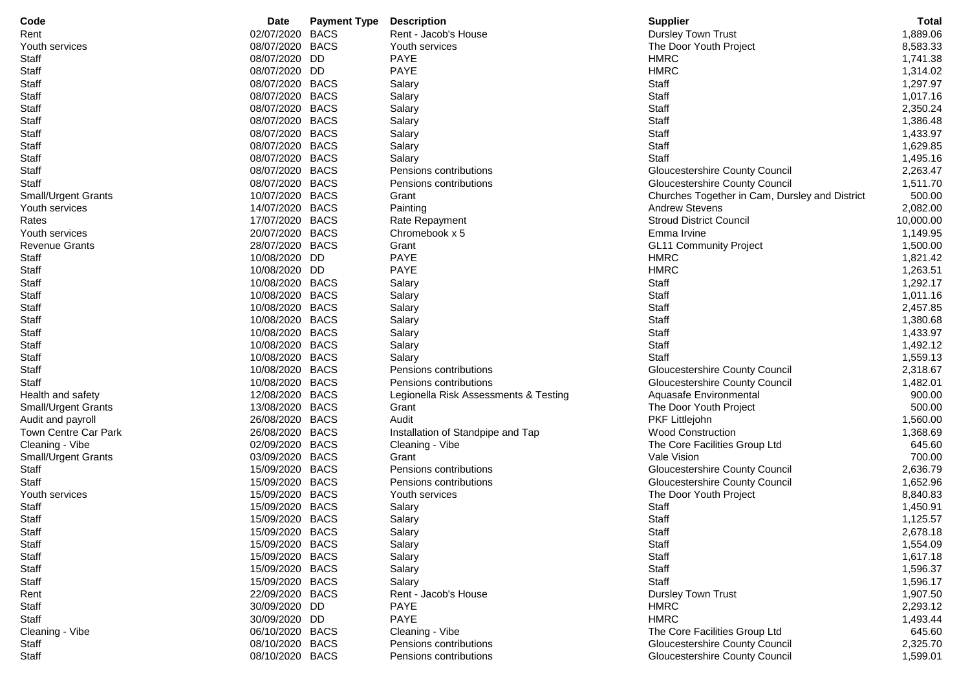| Code                       | <b>Date</b>     | <b>Payment Type</b> | <b>Description</b>                    | <b>Supplier</b>                                | <b>Total</b> |
|----------------------------|-----------------|---------------------|---------------------------------------|------------------------------------------------|--------------|
| Rent                       | 02/07/2020      | <b>BACS</b>         | Rent - Jacob's House                  | <b>Dursley Town Trust</b>                      | 1,889.06     |
| Youth services             | 08/07/2020      | <b>BACS</b>         | Youth services                        | The Door Youth Project                         | 8,583.33     |
| Staff                      | 08/07/2020      | DD                  | PAYE                                  | <b>HMRC</b>                                    | 1,741.38     |
| Staff                      | 08/07/2020 DD   |                     | PAYE                                  | <b>HMRC</b>                                    | 1,314.02     |
| Staff                      | 08/07/2020      | <b>BACS</b>         | Salary                                | Staff                                          | 1,297.97     |
| Staff                      | 08/07/2020      | <b>BACS</b>         | Salary                                | Staff                                          | 1,017.16     |
| Staff                      | 08/07/2020      | <b>BACS</b>         | Salary                                | Staff                                          | 2,350.24     |
| Staff                      | 08/07/2020      | <b>BACS</b>         | Salary                                | Staff                                          | 1,386.48     |
| Staff                      | 08/07/2020      | <b>BACS</b>         | Salary                                | Staff                                          | 1,433.97     |
| Staff                      | 08/07/2020      | <b>BACS</b>         | Salary                                | Staff                                          | 1,629.85     |
| Staff                      | 08/07/2020      | <b>BACS</b>         | Salary                                | Staff                                          | 1,495.16     |
| Staff                      | 08/07/2020      | <b>BACS</b>         | Pensions contributions                | <b>Gloucestershire County Council</b>          | 2,263.47     |
| Staff                      | 08/07/2020      | <b>BACS</b>         | Pensions contributions                | Gloucestershire County Council                 | 1,511.70     |
| Small/Urgent Grants        | 10/07/2020      | <b>BACS</b>         | Grant                                 | Churches Together in Cam, Dursley and District | 500.00       |
| Youth services             | 14/07/2020      | <b>BACS</b>         | Painting                              | <b>Andrew Stevens</b>                          | 2,082.00     |
| Rates                      | 17/07/2020      | <b>BACS</b>         | Rate Repayment                        | <b>Stroud District Council</b>                 | 10,000.00    |
| Youth services             | 20/07/2020      | <b>BACS</b>         | Chromebook x 5                        | Emma Irvine                                    | 1,149.95     |
| <b>Revenue Grants</b>      | 28/07/2020      | <b>BACS</b>         | Grant                                 | <b>GL11 Community Project</b>                  | 1,500.00     |
| Staff                      | 10/08/2020 DD   |                     | PAYE                                  | <b>HMRC</b>                                    | 1,821.42     |
| Staff                      | 10/08/2020 DD   |                     | PAYE                                  | <b>HMRC</b>                                    | 1,263.51     |
| Staff                      | 10/08/2020      | <b>BACS</b>         | Salary                                | Staff                                          | 1,292.17     |
| Staff                      | 10/08/2020      | <b>BACS</b>         | Salary                                | Staff                                          | 1,011.16     |
| Staff                      | 10/08/2020      | <b>BACS</b>         | Salary                                | Staff                                          | 2,457.85     |
| Staff                      | 10/08/2020      | <b>BACS</b>         | Salary                                | Staff                                          | 1,380.68     |
| Staff                      | 10/08/2020      | <b>BACS</b>         | Salary                                | Staff                                          | 1,433.97     |
| Staff                      | 10/08/2020      | <b>BACS</b>         | Salary                                | Staff                                          | 1,492.12     |
| Staff                      | 10/08/2020      | <b>BACS</b>         | Salary                                | Staff                                          | 1,559.13     |
| Staff                      | 10/08/2020      | <b>BACS</b>         | Pensions contributions                | Gloucestershire County Council                 | 2,318.67     |
| Staff                      | 10/08/2020      | <b>BACS</b>         | Pensions contributions                | <b>Gloucestershire County Council</b>          | 1,482.01     |
| Health and safety          | 12/08/2020      | <b>BACS</b>         | Legionella Risk Assessments & Testing | Aquasafe Environmental                         | 900.00       |
| <b>Small/Urgent Grants</b> | 13/08/2020      | <b>BACS</b>         | Grant                                 | The Door Youth Project                         | 500.00       |
| Audit and payroll          | 26/08/2020      | <b>BACS</b>         | Audit                                 | PKF Littlejohn                                 | 1,560.00     |
| Town Centre Car Park       | 26/08/2020      | <b>BACS</b>         | Installation of Standpipe and Tap     | <b>Wood Construction</b>                       | 1,368.69     |
| Cleaning - Vibe            | 02/09/2020      | <b>BACS</b>         | Cleaning - Vibe                       | The Core Facilities Group Ltd                  | 645.60       |
| Small/Urgent Grants        | 03/09/2020      | <b>BACS</b>         | Grant                                 | Vale Vision                                    | 700.00       |
| Staff                      | 15/09/2020      | <b>BACS</b>         | Pensions contributions                | <b>Gloucestershire County Council</b>          | 2,636.79     |
| Staff                      | 15/09/2020      | <b>BACS</b>         | Pensions contributions                | <b>Gloucestershire County Council</b>          | 1,652.96     |
| Youth services             | 15/09/2020      | <b>BACS</b>         | Youth services                        | The Door Youth Project                         | 8,840.83     |
| Staff                      | 15/09/2020      | <b>BACS</b>         | Salary                                | Staff                                          | 1,450.91     |
| Staff                      | 15/09/2020 BACS |                     | Salary                                | Staff                                          | 1,125.57     |
| Staff                      | 15/09/2020 BACS |                     | Salary                                | Staff                                          | 2,678.18     |
| Staff                      | 15/09/2020 BACS |                     | Salary                                | Staff                                          | 1,554.09     |
| Staff                      | 15/09/2020 BACS |                     | Salary                                | Staff                                          | 1,617.18     |
| Staff                      | 15/09/2020 BACS |                     | Salary                                | Staff                                          | 1,596.37     |
| Staff                      | 15/09/2020 BACS |                     | Salary                                | Staff                                          | 1,596.17     |
| Rent                       | 22/09/2020 BACS |                     | Rent - Jacob's House                  | <b>Dursley Town Trust</b>                      | 1,907.50     |
| Staff                      | 30/09/2020 DD   |                     | PAYE                                  | <b>HMRC</b>                                    | 2,293.12     |
| Staff                      | 30/09/2020 DD   |                     | PAYE                                  | <b>HMRC</b>                                    | 1,493.44     |
| Cleaning - Vibe            | 06/10/2020      | <b>BACS</b>         | Cleaning - Vibe                       | The Core Facilities Group Ltd                  | 645.60       |
| Staff                      | 08/10/2020 BACS |                     | Pensions contributions                | Gloucestershire County Council                 | 2,325.70     |
| Staff                      | 08/10/2020 BACS |                     | Pensions contributions                | Gloucestershire County Council                 | 1,599.01     |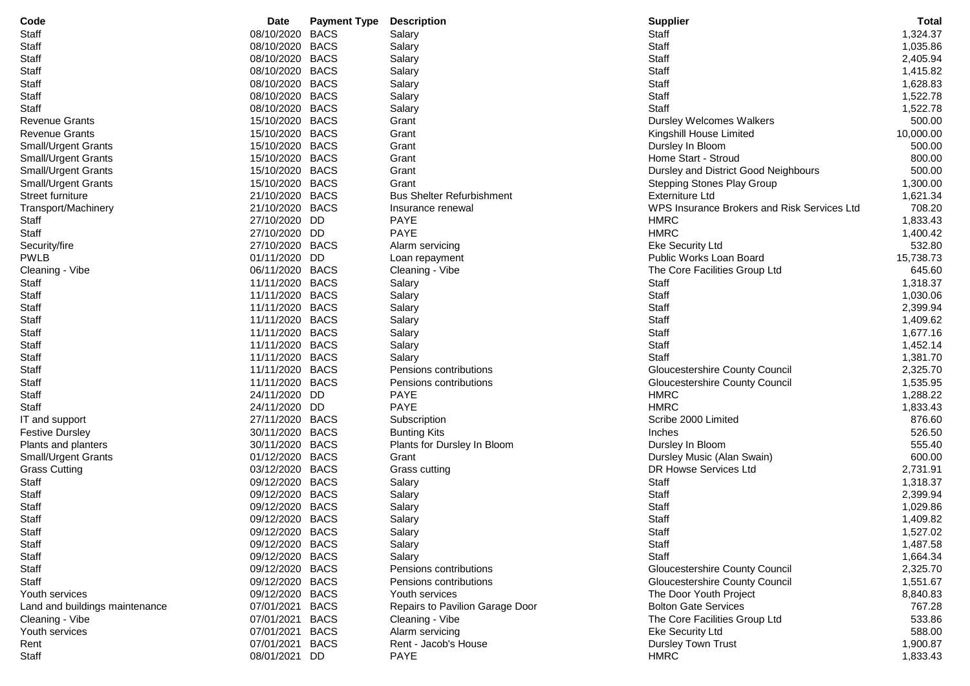| Code                           | Date            | <b>Payment Type</b> | <b>Description</b>               | <b>Supplier</b>                             | <b>Total</b> |
|--------------------------------|-----------------|---------------------|----------------------------------|---------------------------------------------|--------------|
| Staff                          | 08/10/2020 BACS |                     | Salary                           | Staff                                       | 1,324.37     |
| Staff                          | 08/10/2020      | <b>BACS</b>         | Salary                           | Staff                                       | 1,035.86     |
| Staff                          | 08/10/2020 BACS |                     | Salary                           | Staff                                       | 2,405.94     |
| Staff                          | 08/10/2020      | <b>BACS</b>         | Salary                           | Staff                                       | 1,415.82     |
| Staff                          | 08/10/2020      | <b>BACS</b>         | Salary                           | Staff                                       | 1,628.83     |
| Staff                          | 08/10/2020      | <b>BACS</b>         | Salary                           | Staff                                       | 1,522.78     |
| Staff                          | 08/10/2020      | <b>BACS</b>         | Salary                           | Staff                                       | 1,522.78     |
| <b>Revenue Grants</b>          | 15/10/2020 BACS |                     | Grant                            | <b>Dursley Welcomes Walkers</b>             | 500.00       |
| <b>Revenue Grants</b>          | 15/10/2020      | <b>BACS</b>         | Grant                            | Kingshill House Limited                     | 10,000.00    |
| <b>Small/Urgent Grants</b>     | 15/10/2020      | <b>BACS</b>         | Grant                            | Dursley In Bloom                            | 500.00       |
| <b>Small/Urgent Grants</b>     | 15/10/2020      | <b>BACS</b>         | Grant                            | Home Start - Stroud                         | 800.00       |
| Small/Urgent Grants            | 15/10/2020      | <b>BACS</b>         | Grant                            | Dursley and District Good Neighbours        | 500.00       |
| Small/Urgent Grants            | 15/10/2020 BACS |                     | Grant                            | <b>Stepping Stones Play Group</b>           | 1,300.00     |
| Street furniture               | 21/10/2020      | <b>BACS</b>         | <b>Bus Shelter Refurbishment</b> | <b>Externiture Ltd</b>                      | 1,621.34     |
| Transport/Machinery            | 21/10/2020 BACS |                     | Insurance renewal                | WPS Insurance Brokers and Risk Services Ltd | 708.20       |
| Staff                          | 27/10/2020      | DD                  | PAYE                             | <b>HMRC</b>                                 | 1,833.43     |
| Staff                          | 27/10/2020      | DD                  | PAYE                             | <b>HMRC</b>                                 | 1,400.42     |
| Security/fire                  | 27/10/2020 BACS |                     | Alarm servicing                  | Eke Security Ltd                            | 532.80       |
| <b>PWLB</b>                    | 01/11/2020      | DD                  | Loan repayment                   | Public Works Loan Board                     | 15,738.73    |
| Cleaning - Vibe                | 06/11/2020      | <b>BACS</b>         | Cleaning - Vibe                  | The Core Facilities Group Ltd               | 645.60       |
| Staff                          | 11/11/2020      | <b>BACS</b>         | Salary                           | Staff                                       | 1,318.37     |
| Staff                          | 11/11/2020      | <b>BACS</b>         | Salary                           | Staff                                       | 1,030.06     |
| Staff                          | 11/11/2020 BACS |                     | Salary                           | Staff                                       | 2,399.94     |
| Staff                          | 11/11/2020      | <b>BACS</b>         | Salary                           | Staff                                       | 1,409.62     |
| Staff                          | 11/11/2020      | <b>BACS</b>         | Salary                           | Staff                                       | 1,677.16     |
| Staff                          | 11/11/2020      | <b>BACS</b>         | Salary                           | Staff                                       | 1,452.14     |
| Staff                          | 11/11/2020      | <b>BACS</b>         | Salary                           | Staff                                       | 1,381.70     |
| Staff                          | 11/11/2020 BACS |                     | Pensions contributions           | Gloucestershire County Council              | 2,325.70     |
| Staff                          | 11/11/2020 BACS |                     | Pensions contributions           | Gloucestershire County Council              | 1,535.95     |
| Staff                          | 24/11/2020 DD   |                     | PAYE                             | <b>HMRC</b>                                 | 1,288.22     |
| Staff                          | 24/11/2020      | DD                  | PAYE                             | <b>HMRC</b>                                 | 1,833.43     |
| IT and support                 | 27/11/2020      | <b>BACS</b>         | Subscription                     | Scribe 2000 Limited                         | 876.60       |
| <b>Festive Dursley</b>         | 30/11/2020 BACS |                     | <b>Bunting Kits</b>              | Inches                                      | 526.50       |
| Plants and planters            | 30/11/2020      | <b>BACS</b>         | Plants for Dursley In Bloom      | Dursley In Bloom                            | 555.40       |
| <b>Small/Urgent Grants</b>     | 01/12/2020      | <b>BACS</b>         | Grant                            | Dursley Music (Alan Swain)                  | 600.00       |
| <b>Grass Cutting</b>           | 03/12/2020      | <b>BACS</b>         | Grass cutting                    | DR Howse Services Ltd                       | 2,731.91     |
| Staff                          | 09/12/2020      | <b>BACS</b>         | Salary                           | Staff                                       | 1,318.37     |
| Staff                          | 09/12/2020 BACS |                     | Salary                           | Staff                                       | 2,399.94     |
| Staff                          | 09/12/2020      | <b>BACS</b>         | Salary                           | Staff                                       | 1,029.86     |
| Staff                          | 09/12/2020 BACS |                     | Salary                           | Staff                                       | 1,409.82     |
| Staff                          | 09/12/2020 BACS |                     | Salary                           | Staff                                       | 1,527.02     |
| Staff                          | 09/12/2020 BACS |                     | Salary                           | Staff                                       | 1,487.58     |
| Staff                          | 09/12/2020 BACS |                     | Salary                           | Staff                                       | 1,664.34     |
| Staff                          | 09/12/2020 BACS |                     | Pensions contributions           | Gloucestershire County Council              | 2,325.70     |
| Staff                          | 09/12/2020 BACS |                     | Pensions contributions           | <b>Gloucestershire County Council</b>       | 1,551.67     |
| Youth services                 | 09/12/2020 BACS |                     | Youth services                   | The Door Youth Project                      | 8,840.83     |
| Land and buildings maintenance | 07/01/2021      | <b>BACS</b>         | Repairs to Pavilion Garage Door  | <b>Bolton Gate Services</b>                 | 767.28       |
| Cleaning - Vibe                | 07/01/2021      | <b>BACS</b>         | Cleaning - Vibe                  | The Core Facilities Group Ltd               | 533.86       |
| Youth services                 | 07/01/2021      | <b>BACS</b>         | Alarm servicing                  | <b>Eke Security Ltd</b>                     | 588.00       |
| Rent                           | 07/01/2021      | BACS                | Rent - Jacob's House             | <b>Dursley Town Trust</b>                   | 1,900.87     |
| Staff                          | 08/01/2021 DD   |                     | <b>PAYE</b>                      | <b>HMRC</b>                                 | 1,833.43     |
|                                |                 |                     |                                  |                                             |              |